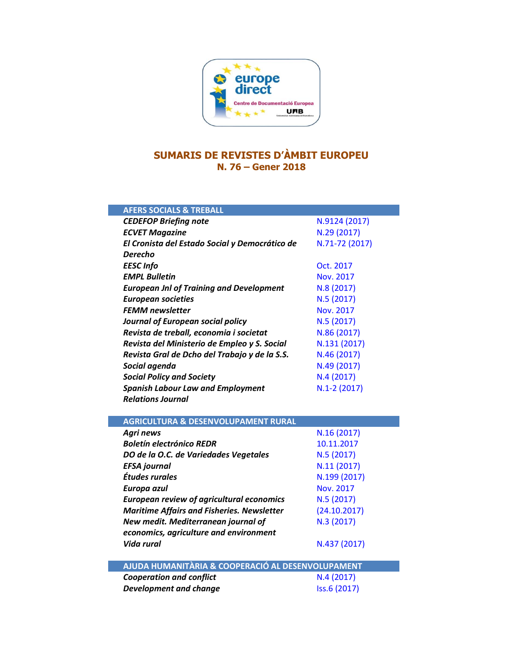

## **SUMARIS DE REVISTES D'ÀMBIT EUROPEU N. 76 – Gener 2018**

| <b>AFERS SOCIALS &amp; TREBALL</b>                |                |
|---------------------------------------------------|----------------|
| <b>CEDEFOP Briefing note</b>                      | N.9124 (2017)  |
| <b>ECVET Magazine</b>                             | N.29 (2017)    |
| El Cronista del Estado Social y Democrático de    | N.71-72 (2017) |
| Derecho                                           |                |
| <b>EESC Info</b>                                  | Oct. 2017      |
| <b>EMPL Bulletin</b>                              | Nov. 2017      |
| <b>European Jnl of Training and Development</b>   | N.8 (2017)     |
| <b>European societies</b>                         | N.5 (2017)     |
| <b>FEMM newsletter</b>                            | Nov. 2017      |
| <b>Journal of European social policy</b>          | N.5(2017)      |
| Revista de treball, economia i societat           | N.86 (2017)    |
| Revista del Ministerio de Empleo y S. Social      | N.131 (2017)   |
| Revista Gral de Dcho del Trabajo y de la S.S.     | N.46 (2017)    |
| Social agenda                                     | N.49 (2017)    |
| <b>Social Policy and Society</b>                  | N.4(2017)      |
| <b>Spanish Labour Law and Employment</b>          | $N.1-2(2017)$  |
| <b>Relations Journal</b>                          |                |
|                                                   |                |
| <b>AGRICULTURA &amp; DESENVOLUPAMENT RURAL</b>    |                |
| <b>Agri news</b>                                  | N.16 (2017)    |
| <b>Boletín electrónico REDR</b>                   | 10.11.2017     |
| DO de la O.C. de Variedades Vegetales             | N.5(2017)      |
| <b>EFSA</b> journal                               | N.11(2017)     |
| Études rurales                                    | N.199 (2017)   |
| Europa azul                                       | Nov. 2017      |
| <b>European review of agricultural economics</b>  | N.5 (2017)     |
| <b>Maritime Affairs and Fisheries. Newsletter</b> | (24.10.2017)   |
| New medit. Mediterranean journal of               | N.3 (2017)     |
| economics, agriculture and environment            |                |
| Vida rural                                        | N.437 (2017)   |
| AJUDA HUMANITÀRIA & COOPERACIÓ AL DESENVOLUPAMENT |                |
| <b>Cooperation and conflict</b>                   | N.4(2017)      |
| <b>Development and change</b>                     | Iss.6 (2017)   |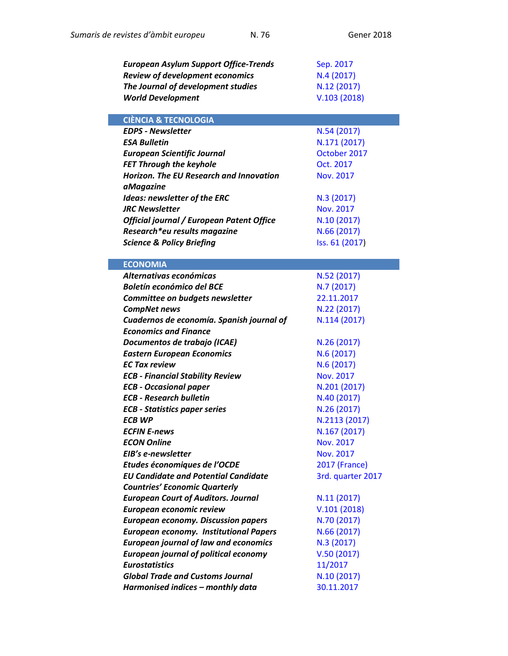| <b>European Asylum Support Office-Trends</b>   | Sep. 2017            |
|------------------------------------------------|----------------------|
| <b>Review of development economics</b>         | N.4(2017)            |
| The Journal of development studies             | N.12 (2017)          |
| <b>World Development</b>                       | V.103(2018)          |
| <b>CIÈNCIA &amp; TECNOLOGIA</b>                |                      |
| <b>EDPS - Newsletter</b>                       | N.54 (2017)          |
| <b>ESA Bulletin</b>                            | N.171 (2017)         |
| <b>European Scientific Journal</b>             | October 2017         |
| <b>FET Through the keyhole</b>                 | Oct. 2017            |
| <b>Horizon. The EU Research and Innovation</b> | <b>Nov. 2017</b>     |
| aMagazine                                      |                      |
| <b>Ideas: newsletter of the ERC</b>            | N.3 (2017)           |
| <b>JRC Newsletter</b>                          | <b>Nov. 2017</b>     |
| Official journal / European Patent Office      | N.10 (2017)          |
| Research*eu results magazine                   | N.66 (2017)          |
| <b>Science &amp; Policy Briefing</b>           | Iss. 61 (2017)       |
|                                                |                      |
| <b>ECONOMIA</b>                                |                      |
| Alternativas económicas                        | N.52 (2017)          |
| <b>Boletín económico del BCE</b>               | N.7(2017)            |
| Committee on budgets newsletter                | 22.11.2017           |
| <b>CompNet news</b>                            | N.22 (2017)          |
| Cuadernos de economía. Spanish journal of      | N.114 (2017)         |
| <b>Economics and Finance</b>                   |                      |
| Documentos de trabajo (ICAE)                   | N.26 (2017)          |
| <b>Eastern European Economics</b>              | N.6(2017)            |
| <b>EC Tax review</b>                           | N.6(2017)            |
| <b>ECB - Financial Stability Review</b>        | Nov. 2017            |
| <b>ECB - Occasional paper</b>                  | N.201 (2017)         |
| <b>ECB - Research bulletin</b>                 | N.40 (2017)          |
| <b>ECB - Statistics paper series</b>           | N.26 (2017)          |
| <b>ECB WP</b>                                  | N.2113 (2017)        |
| <b>ECFIN E-news</b>                            | N.167 (2017)         |
| <b>ECON Online</b>                             | Nov. 2017            |
| EIB's e-newsletter                             | Nov. 2017            |
| Etudes économiques de l'OCDE                   | <b>2017 (France)</b> |
| <b>EU Candidate and Potential Candidate</b>    | 3rd. quarter 2017    |
| <b>Countries' Economic Quarterly</b>           |                      |
| <b>European Court of Auditors. Journal</b>     | N.11 (2017)          |
| European economic review                       | V.101(2018)          |
| <b>European economy. Discussion papers</b>     | N.70 (2017)          |
| <b>European economy. Institutional Papers</b>  | N.66 (2017)          |
| <b>European journal of law and economics</b>   | N.3(2017)            |
| <b>European journal of political economy</b>   | V.50(2017)           |
| <b>Eurostatistics</b>                          | 11/2017              |
| <b>Global Trade and Customs Journal</b>        | N.10 (2017)          |
| Harmonised indices - monthly data              | 30.11.2017           |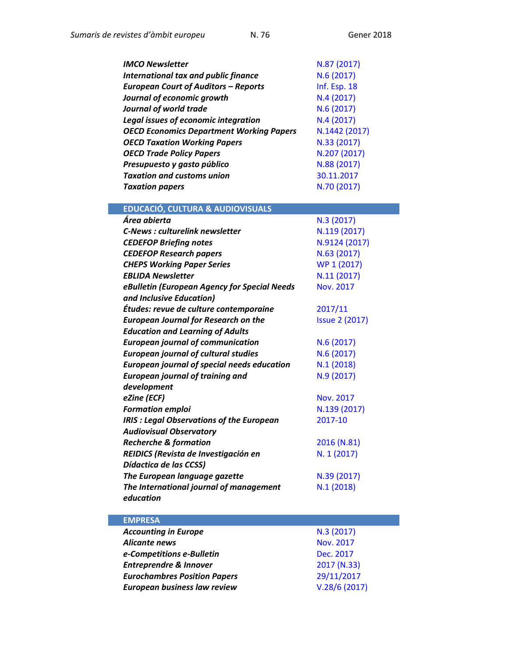| <b>IMCO Newsletter</b>                             | N.87 (2017)           |
|----------------------------------------------------|-----------------------|
| <b>International tax and public finance</b>        | N.6 (2017)            |
| <b>European Court of Auditors - Reports</b>        | Inf. Esp. 18          |
| Journal of economic growth                         | N.4(2017)             |
| Journal of world trade                             | N.6(2017)             |
| <b>Legal issues of economic integration</b>        | N.4(2017)             |
| <b>OECD Economics Department Working Papers</b>    | N.1442 (2017)         |
| <b>OECD Taxation Working Papers</b>                | N.33 (2017)           |
| <b>OECD Trade Policy Papers</b>                    | N.207 (2017)          |
| Presupuesto y gasto público                        | N.88 (2017)           |
| <b>Taxation and customs union</b>                  | 30.11.2017            |
| <b>Taxation papers</b>                             | N.70 (2017)           |
|                                                    |                       |
| <b>EDUCACIÓ, CULTURA &amp; AUDIOVISUALS</b>        |                       |
| Área abierta                                       | N.3(2017)             |
| <b>C-News: culturelink newsletter</b>              | N.119 (2017)          |
| <b>CEDEFOP Briefing notes</b>                      | N.9124 (2017)         |
| <b>CEDEFOP Research papers</b>                     | N.63 (2017)           |
| <b>CHEPS Working Paper Series</b>                  | WP 1 (2017)           |
| <b>EBLIDA Newsletter</b>                           | N.11 (2017)           |
| eBulletin (European Agency for Special Needs       | <b>Nov. 2017</b>      |
| and Inclusive Education)                           |                       |
| Études: revue de culture contemporaine             | 2017/11               |
| <b>European Journal for Research on the</b>        | <b>Issue 2 (2017)</b> |
| <b>Education and Learning of Adults</b>            |                       |
| <b>European journal of communication</b>           | N.6(2017)             |
| <b>European journal of cultural studies</b>        | N.6(2017)             |
| <b>European journal of special needs education</b> | N.1(2018)             |
| <b>European journal of training and</b>            | N.9 (2017)            |
| development                                        |                       |
| eZine (ECF)                                        | Nov. 2017             |
| <b>Formation emploi</b>                            | N.139 (2017)          |
| <b>IRIS: Legal Observations of the European</b>    | 2017-10               |
| <b>Audiovisual Observatory</b>                     |                       |
| <b>Recherche &amp; formation</b>                   | 2016 (N.81)           |
| REIDICS (Revista de Investigación en               | N. 1 (2017)           |
| Dídactica de las CCSS)                             |                       |
| The European language gazette                      | N.39 (2017)           |
| The International journal of management            | N.1(2018)             |
| education                                          |                       |

| <b>EMPRESA</b>                      |                  |
|-------------------------------------|------------------|
| <b>Accounting in Europe</b>         | N.3(2017)        |
| Alicante news                       | <b>Nov. 2017</b> |
| e-Competitions e-Bulletin           | Dec. 2017        |
| <b>Entreprendre &amp; Innover</b>   | 2017 (N.33)      |
| <b>Eurochambres Position Papers</b> | 29/11/2017       |
| European business law review        | V.28/6(2017)     |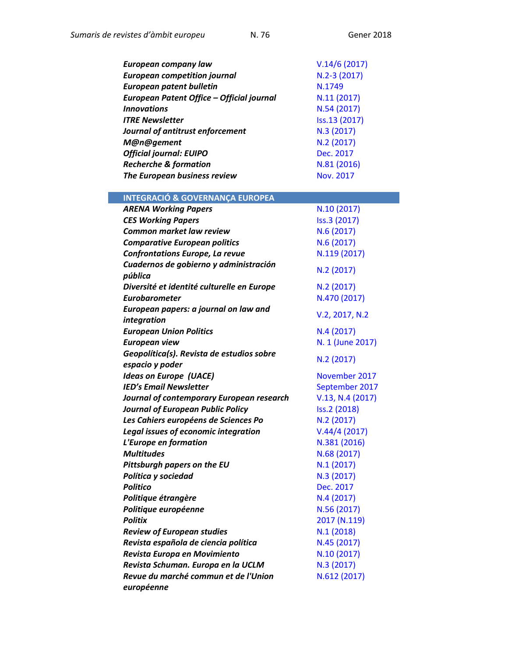| European company law                      | V.14/6(2017)     |
|-------------------------------------------|------------------|
| <b>European competition journal</b>       | N.2-3 (2017)     |
| <b>European patent bulletin</b>           | N.1749           |
| European Patent Office - Official journal | N.11 (2017)      |
| <b>Innovations</b>                        | N.54 (2017)      |
| <b>ITRE Newsletter</b>                    | Iss.13 (2017)    |
| Journal of antitrust enforcement          | N.3 (2017)       |
| M@n@gement                                | N.2 (2017)       |
| <b>Official journal: EUIPO</b>            | Dec. 2017        |
| <b>Recherche &amp; formation</b>          | N.81 (2016)      |
| The European business review              | <b>Nov. 2017</b> |

**INTEGRACIÓ & GOVERNANÇA EUROPEA**

| <b>ARENA Working Papers</b>                | N.10 (2017)      |
|--------------------------------------------|------------------|
| <b>CES Working Papers</b>                  | Iss.3 (2017)     |
| <b>Common market law review</b>            | N.6(2017)        |
| <b>Comparative European politics</b>       | N.6(2017)        |
| <b>Confrontations Europe, La revue</b>     | N.119 (2017)     |
| Cuadernos de gobierno y administración     | N.2 (2017)       |
| pública                                    |                  |
| Diversité et identité culturelle en Europe | N.2 (2017)       |
| <b>Eurobarometer</b>                       | N.470 (2017)     |
| European papers: a journal on law and      | V.2, 2017, N.2   |
| integration                                |                  |
| <b>European Union Politics</b>             | N.4(2017)        |
| <b>European view</b>                       | N. 1 (June 2017) |
| Geopolítica(s). Revista de estudios sobre  | N.2 (2017)       |
| espacio y poder                            |                  |
| <b>Ideas on Europe (UACE)</b>              | November 2017    |
| <b>IED's Email Newsletter</b>              | September 2017   |
| Journal of contemporary European research  | V.13, N.4 (2017) |
| <b>Journal of European Public Policy</b>   | Iss.2 (2018)     |
| Les Cahiers européens de Sciences Po       | N.2 (2017)       |
| Legal issues of economic integration       | V.44/4(2017)     |
| L'Europe en formation                      | N.381 (2016)     |
| <b>Multitudes</b>                          | N.68 (2017)      |
| Pittsburgh papers on the EU                | N.1(2017)        |
| Política y sociedad                        | N.3 (2017)       |
| <b>Politico</b>                            | Dec. 2017        |
| Politique étrangère                        | N.4(2017)        |
| Politique européenne                       | N.56 (2017)      |
| <b>Politix</b>                             | 2017 (N.119)     |
| <b>Review of European studies</b>          | N.1(2018)        |
| Revista española de ciencia política       | N.45 (2017)      |
| Revista Europa en Movimiento               | N.10 (2017)      |
| Revista Schuman. Europa en la UCLM         | N.3 (2017)       |
| Revue du marché commun et de l'Union       | N.612 (2017)     |
| européenne                                 |                  |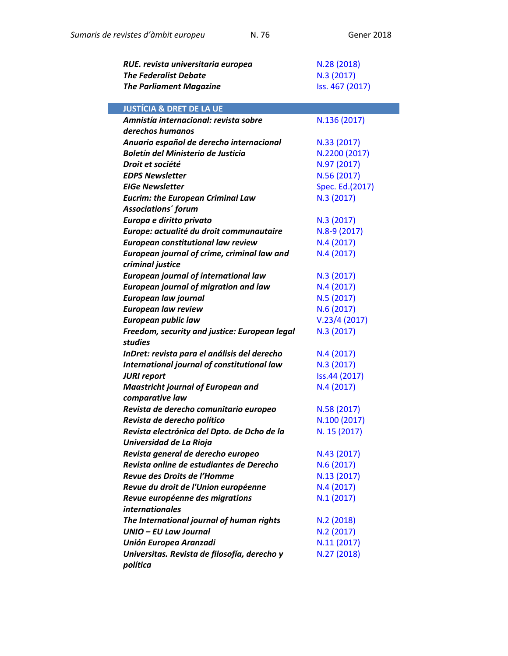| RUE. revista universitaria europea            | N.28 (2018)     |
|-----------------------------------------------|-----------------|
| <b>The Federalist Debate</b>                  | N.3 (2017)      |
| <b>The Parliament Magazine</b>                | Iss. 467 (2017) |
|                                               |                 |
| <b>JUSTÍCIA &amp; DRET DE LA UE</b>           |                 |
| Amnistía internacional: revista sobre         | N.136 (2017)    |
| derechos humanos                              |                 |
| Anuario español de derecho internacional      | N.33 (2017)     |
| Boletín del Ministerio de Justicia            | N.2200 (2017)   |
| Droit et société                              | N.97 (2017)     |
| <b>EDPS Newsletter</b>                        | N.56 (2017)     |
| <b>EIGe Newsletter</b>                        | Spec. Ed.(2017) |
| <b>Eucrim: the European Criminal Law</b>      | N.3 (2017)      |
| Associations' forum                           |                 |
| Europa e diritto privato                      | N.3 (2017)      |
| Europe: actualité du droit communautaire      | N.8-9 (2017)    |
| European constitutional law review            | N.4(2017)       |
| European journal of crime, criminal law and   | N.4(2017)       |
| criminal justice                              |                 |
| <b>European journal of international law</b>  | N.3 (2017)      |
| <b>European journal of migration and law</b>  | N.4(2017)       |
| European law journal                          | N.5 (2017)      |
| <b>European law review</b>                    | N.6 (2017)      |
| <b>European public law</b>                    | V.23/4(2017)    |
| Freedom, security and justice: European legal | N.3 (2017)      |
| <b>studies</b>                                |                 |
| InDret: revista para el análisis del derecho  | N.4(2017)       |
| International journal of constitutional law   | N.3 (2017)      |
| <b>JURI report</b>                            | Iss.44 (2017)   |
| <b>Maastricht journal of European and</b>     | N.4 (2017)      |
| comparative law                               |                 |
| Revista de derecho comunitario europeo        | N.58 (2017)     |
| Revista de derecho político                   | N.100 (2017)    |
| Revista electrónica del Dpto. de Dcho de la   | N. 15 (2017)    |
| Universidad de La Rioja                       |                 |
| Revista general de derecho europeo            | N.43 (2017)     |
| Revista online de estudiantes de Derecho      | N.6(2017)       |
| Revue des Droits de l'Homme                   | N.13 (2017)     |
| Revue du droit de l'Union européenne          | N.4(2017)       |
| Revue européenne des migrations               | N.1(2017)       |
| <i>internationales</i>                        |                 |
| The International journal of human rights     | N.2(2018)       |
| UNIO - EU Law Journal                         | N.2 (2017)      |
| Unión Europea Aranzadi                        | N.11 (2017)     |
| Universitas. Revista de filosofía, derecho y  | N.27 (2018)     |
| política                                      |                 |
|                                               |                 |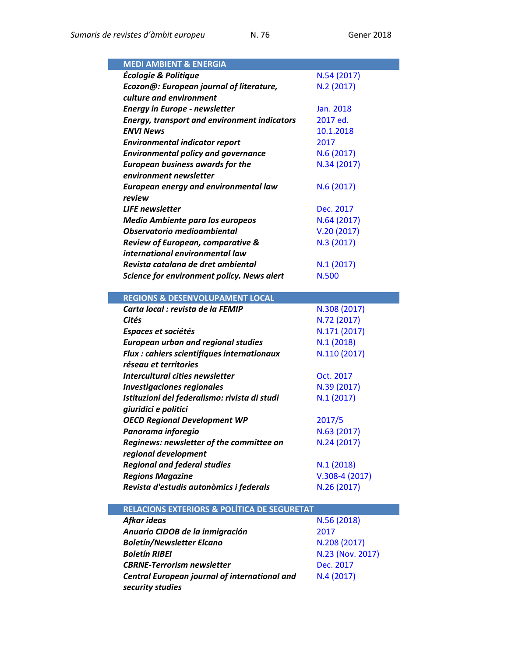| <b>MEDI AMBIENT &amp; ENERGIA</b>                                  |                                |
|--------------------------------------------------------------------|--------------------------------|
| Écologie & Politique                                               | N.54 (2017)                    |
| Ecozon@: European journal of literature,                           | N.2 (2017)                     |
| culture and environment                                            |                                |
| <b>Energy in Europe - newsletter</b>                               | Jan. 2018                      |
| <b>Energy, transport and environment indicators</b>                | 2017 ed.                       |
| <b>ENVI News</b>                                                   | 10.1.2018                      |
| <b>Environmental indicator report</b>                              | 2017                           |
| <b>Environmental policy and governance</b>                         | N.6(2017)                      |
| <b>European business awards for the</b>                            | N.34 (2017)                    |
| environment newsletter                                             |                                |
| European energy and environmental law                              | N.6(2017)                      |
| review                                                             |                                |
| <b>LIFE</b> newsletter                                             | Dec. 2017                      |
| <b>Medio Ambiente para los europeos</b>                            | N.64 (2017)                    |
| Observatorio medioambiental                                        | V.20(2017)                     |
| Review of European, comparative &                                  | N.3 (2017)                     |
| international environmental law                                    |                                |
| Revista catalana de dret ambiental                                 | N.1 (2017)                     |
|                                                                    | N.500                          |
| Science for environment policy. News alert                         |                                |
|                                                                    |                                |
| <b>REGIONS &amp; DESENVOLUPAMENT LOCAL</b>                         |                                |
| Carta local : revista de la FEMIP                                  | N.308 (2017)                   |
| Cités                                                              | N.72 (2017)                    |
| Espaces et sociétés                                                | N.171 (2017)                   |
| <b>European urban and regional studies</b>                         | N.1(2018)                      |
| Flux : cahiers scientifiques internationaux                        | N.110 (2017)                   |
| réseau et territories                                              |                                |
| Intercultural cities newsletter                                    | Oct. 2017                      |
| <b>Investigaciones regionales</b>                                  | N.39 (2017)                    |
| Istituzioni del federalismo: rivista di studi                      | N.1(2017)                      |
| giuridici e politici                                               |                                |
| <b>OECD Regional Development WP</b>                                | 2017/5                         |
| Panorama inforegio                                                 | N.63 (2017)                    |
| Reginews: newsletter of the committee on                           | N.24 (2017)                    |
| regional development                                               |                                |
| <b>Regional and federal studies</b>                                | N.1(2018)                      |
| <b>Regions Magazine</b><br>Revista d'estudis autonòmics i federals | $V.308-4(2017)$<br>N.26 (2017) |

| <b>RELACIONS EXTERIORS &amp; POLÍTICA DE SEGURETAT</b>            |                  |  |
|-------------------------------------------------------------------|------------------|--|
| Afkar ideas                                                       | N.56 (2018)      |  |
| Anuario CIDOB de la inmigración                                   | 2017             |  |
| <b>Boletín/Newsletter Elcano</b>                                  | N.208 (2017)     |  |
| <b>Boletín RIBEI</b>                                              | N.23 (Nov. 2017) |  |
| <b>CBRNE-Terrorism newsletter</b>                                 | Dec. 2017        |  |
| Central European journal of international and<br>security studies | N.4(2017)        |  |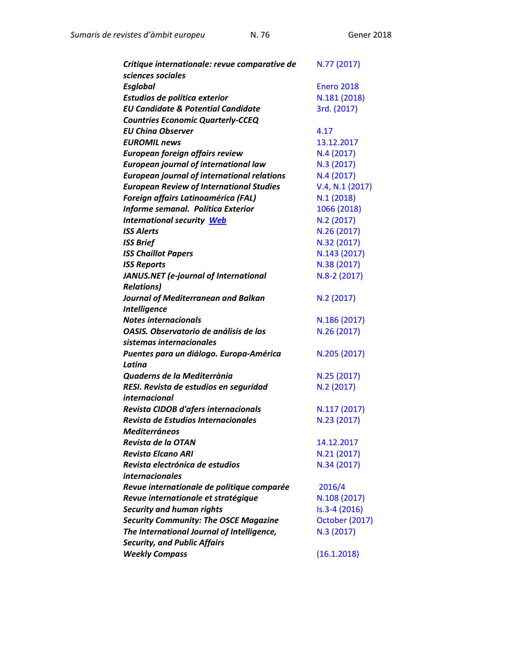*Sumaris de revistes d'àmbit europeu* N. 76 Gener 2018

| Critique internationale: revue comparative de      | N.77 (2017)       |
|----------------------------------------------------|-------------------|
| sciences sociales                                  |                   |
| <b>Esglobal</b>                                    | <b>Enero 2018</b> |
| Estudios de política exterior                      | N.181 (2018)      |
| <b>EU Candidate &amp; Potential Candidate</b>      | 3rd. (2017)       |
| <b>Countries Economic Quarterly-CCEQ</b>           |                   |
| <b>EU China Observer</b>                           | 4.17              |
| <b>EUROMIL news</b>                                | 13.12.2017        |
| European foreign affairs review                    | N.4(2017)         |
| <b>European journal of international law</b>       | N.3 (2017)        |
| <b>European journal of international relations</b> | N.4 (2017)        |
| <b>European Review of International Studies</b>    | V.4, N.1 (2017)   |
| <b>Foreign affairs Latinoamérica (FAL)</b>         | N.1(2018)         |
| Informe semanal. Política Exterior                 | 1066 (2018)       |
| <b>International security Web</b>                  | N.2 (2017)        |
| <b>ISS Alerts</b>                                  | N.26 (2017)       |
| <b>ISS Brief</b>                                   | N.32 (2017)       |
| <b>ISS Chaillot Papers</b>                         | N.143 (2017)      |
| <b>ISS Reports</b>                                 | N.38 (2017)       |
| JANUS.NET (e-journal of International              | N.8-2 (2017)      |
| <b>Relations)</b>                                  |                   |
| Journal of Mediterranean and Balkan                | N.2 (2017)        |
| <b>Intelligence</b>                                |                   |
| <b>Notes internacionals</b>                        | N.186 (2017)      |
| OASIS. Observatorio de análisis de los             | N.26 (2017)       |
| sistemas internacionales                           |                   |
| Puentes para un diálogo. Europa-América            | N.205 (2017)      |
| Latina                                             |                   |
| Quaderns de la Mediterrània                        | N.25 (2017)       |
| RESI. Revista de estudios en seguridad             | N.2 (2017)        |
| internacional                                      |                   |
| Revista CIDOB d'afers internacionals               | N.117 (2017)      |
| Revista de Estudios Internacionales                | N.23 (2017)       |
| <b>Mediterráneos</b>                               |                   |
| Revista de la OTAN                                 | 14.12.2017        |
| <b>Revista Elcano ARI</b>                          | N.21 (2017)       |
| Revista electrónica de estudios                    | N.34 (2017)       |
| <i>internacionales</i>                             |                   |
| Revue internationale de politique comparée         | 2016/4            |
| Revue internationale et stratégique                | N.108 (2017)      |
| <b>Security and human rights</b>                   | $Is.3-4(2016)$    |
| <b>Security Community: The OSCE Magazine</b>       | October (2017)    |
| The International Journal of Intelligence,         | N.3 (2017)        |
| <b>Security, and Public Affairs</b>                |                   |
| <b>Weekly Compass</b>                              | (16.1.2018)       |